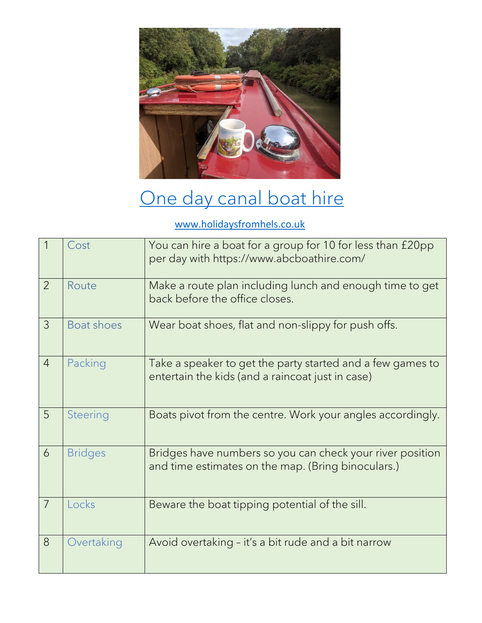

## [One day canal boat hire](https://www.holidaysfromhels.co.uk/2021/03/28/one-day-canal-boat-hire/)

## [www.holidaysfromhels.co.uk](http://www.holidaysfromhels.co.uk/)

|                | Cost           | You can hire a boat for a group for 10 for less than £20pp<br>per day with https://www.abcboathire.com/         |
|----------------|----------------|-----------------------------------------------------------------------------------------------------------------|
| $\overline{2}$ | Route          | Make a route plan including lunch and enough time to get<br>back before the office closes.                      |
| 3              | Boat shoes     | Wear boat shoes, flat and non-slippy for push offs.                                                             |
| $\overline{4}$ | Packing        | Take a speaker to get the party started and a few games to<br>entertain the kids (and a raincoat just in case)  |
| 5              | Steering       | Boats pivot from the centre. Work your angles accordingly.                                                      |
| 6              | <b>Bridges</b> | Bridges have numbers so you can check your river position<br>and time estimates on the map. (Bring binoculars.) |
| $\overline{7}$ | Locks          | Beware the boat tipping potential of the sill.                                                                  |
| 8              | Overtaking     | Avoid overtaking - it's a bit rude and a bit narrow                                                             |